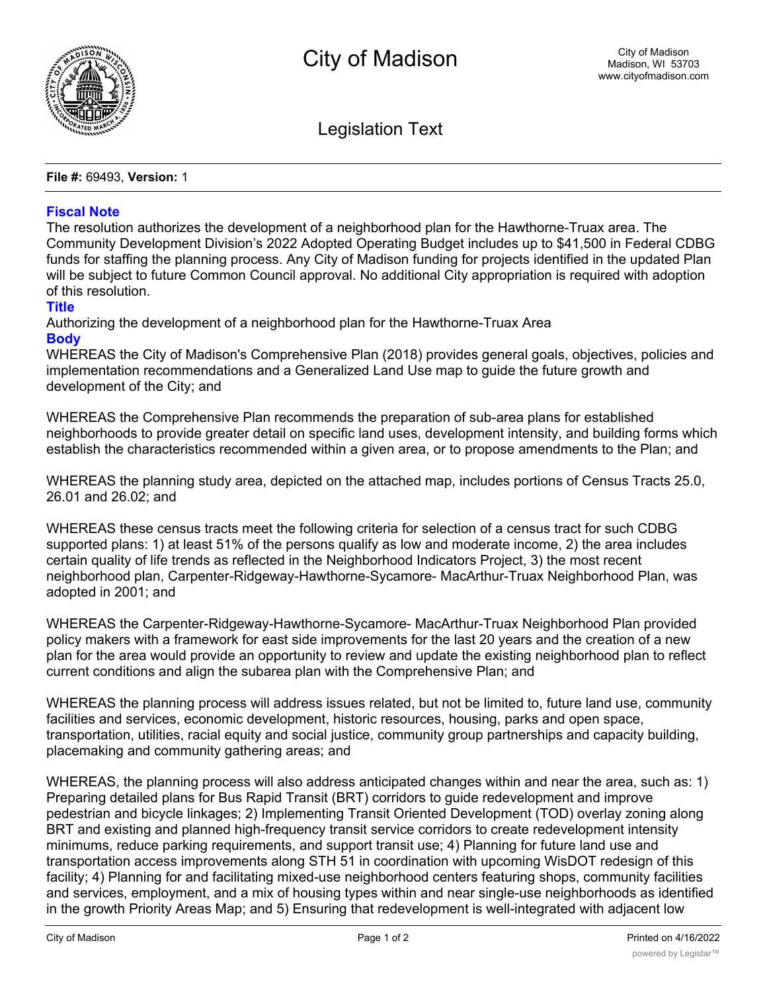

Legislation Text

**File #:** 69493, **Version:** 1

## **Fiscal Note**

The resolution authorizes the development of a neighborhood plan for the Hawthorne-Truax area. The Community Development Division's 2022 Adopted Operating Budget includes up to \$41,500 in Federal CDBG funds for staffing the planning process. Any City of Madison funding for projects identified in the updated Plan will be subject to future Common Council approval. No additional City appropriation is required with adoption of this resolution.

## **Title**

Authorizing the development of a neighborhood plan for the Hawthorne-Truax Area **Body**

WHEREAS the City of Madison's Comprehensive Plan (2018) provides general goals, objectives, policies and implementation recommendations and a Generalized Land Use map to guide the future growth and development of the City; and

WHEREAS the Comprehensive Plan recommends the preparation of sub-area plans for established neighborhoods to provide greater detail on specific land uses, development intensity, and building forms which establish the characteristics recommended within a given area, or to propose amendments to the Plan; and

WHEREAS the planning study area, depicted on the attached map, includes portions of Census Tracts 25.0, 26.01 and 26.02; and

WHEREAS these census tracts meet the following criteria for selection of a census tract for such CDBG supported plans: 1) at least 51% of the persons qualify as low and moderate income, 2) the area includes certain quality of life trends as reflected in the Neighborhood Indicators Project, 3) the most recent neighborhood plan, Carpenter-Ridgeway-Hawthorne-Sycamore- MacArthur-Truax Neighborhood Plan, was adopted in 2001; and

WHEREAS the Carpenter-Ridgeway-Hawthorne-Sycamore- MacArthur-Truax Neighborhood Plan provided policy makers with a framework for east side improvements for the last 20 years and the creation of a new plan for the area would provide an opportunity to review and update the existing neighborhood plan to reflect current conditions and align the subarea plan with the Comprehensive Plan; and

WHEREAS the planning process will address issues related, but not be limited to, future land use, community facilities and services, economic development, historic resources, housing, parks and open space, transportation, utilities, racial equity and social justice, community group partnerships and capacity building, placemaking and community gathering areas; and

WHEREAS, the planning process will also address anticipated changes within and near the area, such as: 1) Preparing detailed plans for Bus Rapid Transit (BRT) corridors to guide redevelopment and improve pedestrian and bicycle linkages; 2) Implementing Transit Oriented Development (TOD) overlay zoning along BRT and existing and planned high-frequency transit service corridors to create redevelopment intensity minimums, reduce parking requirements, and support transit use; 4) Planning for future land use and transportation access improvements along STH 51 in coordination with upcoming WisDOT redesign of this facility; 4) Planning for and facilitating mixed-use neighborhood centers featuring shops, community facilities and services, employment, and a mix of housing types within and near single-use neighborhoods as identified in the growth Priority Areas Map; and 5) Ensuring that redevelopment is well-integrated with adjacent low